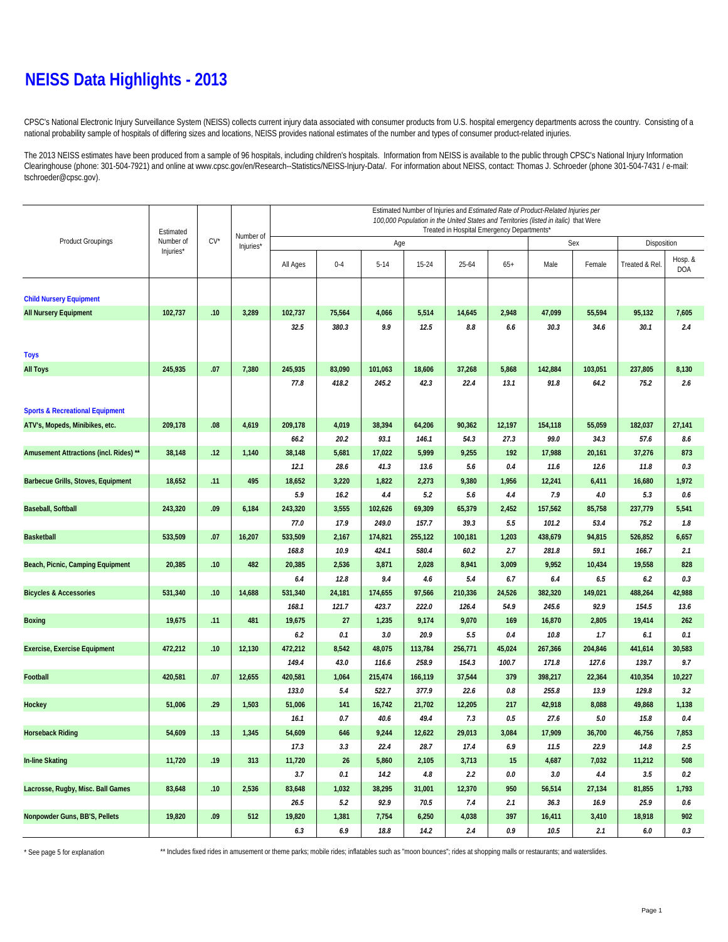#### **NEISS Data Highlights - 2013**

CPSC's National Electronic Injury Surveillance System (NEISS) collects current injury data associated with consumer products from U.S. hospital emergency departments across the country. Consisting of a national probability sample of hospitals of differing sizes and locations, NEISS provides national estimates of the number and types of consumer product-related injuries.

The 2013 NEISS estimates have been produced from a sample of 96 hospitals, including children's hospitals. Information from NEISS is available to the public through CPSC's National Injury Information Clearinghouse (phone: 301-504-7921) and online at www.cpsc.gov/en/Research--Statistics/NEISS-Injury-Data/. For information about NEISS, contact: Thomas J. Schroeder (phone 301-504-7431 / e-mail: tschroeder@cpsc.gov).

|                                            |                        |        |                        | Estimated Number of Injuries and Estimated Rate of Product-Related Injuries per                                                    |         |              |         |               |         |             |         |                |                |  |
|--------------------------------------------|------------------------|--------|------------------------|------------------------------------------------------------------------------------------------------------------------------------|---------|--------------|---------|---------------|---------|-------------|---------|----------------|----------------|--|
|                                            | Estimated<br>Number of |        | Number of<br>Injuries* | 100,000 Population in the United States and Territories (listed in italic) that Were<br>Treated in Hospital Emergency Departments* |         |              |         |               |         |             |         |                |                |  |
| <b>Product Groupings</b>                   |                        | $CV^*$ |                        |                                                                                                                                    |         | Age          |         |               | Sex     | Disposition |         |                |                |  |
|                                            | Injuries*              |        |                        | All Ages                                                                                                                           | $0 - 4$ | $5 - 14$     | 15-24   | 25-64         | $65+$   | Male        | Female  | Treated & Rel. | Hosp. &<br>DOA |  |
|                                            |                        |        |                        |                                                                                                                                    |         |              |         |               |         |             |         |                |                |  |
| <b>Child Nursery Equipment</b>             |                        |        |                        |                                                                                                                                    |         |              |         |               |         |             |         |                |                |  |
| <b>All Nursery Equipment</b>               | 102,737                | .10    | 3,289                  | 102,737<br>32.5                                                                                                                    | 75,564  | 4,066<br>9.9 | 5,514   | 14,645<br>8.8 | 2,948   | 47,099      | 55,594  | 95,132         | 7,605          |  |
|                                            |                        |        |                        |                                                                                                                                    | 380.3   |              | 12.5    |               | 6.6     | 30.3        | 34.6    | 30.1           | 2.4            |  |
|                                            |                        |        |                        |                                                                                                                                    |         |              |         |               |         |             |         |                |                |  |
| <b>Toys</b><br><b>All Toys</b>             | 245,935                | .07    | 7,380                  | 245,935                                                                                                                            | 83,090  | 101,063      | 18,606  | 37,268        | 5,868   | 142,884     | 103,051 | 237,805        | 8,130          |  |
|                                            |                        |        |                        | 77.8                                                                                                                               | 418.2   | 245.2        | 42.3    | 22.4          | 13.1    | 91.8        | 64.2    | 75.2           | 2.6            |  |
|                                            |                        |        |                        |                                                                                                                                    |         |              |         |               |         |             |         |                |                |  |
| <b>Sports &amp; Recreational Equipment</b> |                        |        |                        |                                                                                                                                    |         |              |         |               |         |             |         |                |                |  |
| ATV's, Mopeds, Minibikes, etc.             | 209,178                | .08    | 4,619                  | 209,178                                                                                                                            | 4,019   | 38,394       | 64,206  | 90,362        | 12,197  | 154,118     | 55,059  | 182,037        | 27,141         |  |
|                                            |                        |        |                        | 66.2                                                                                                                               | 20.2    | 93.1         | 146.1   | 54.3          | 27.3    | 99.0        | 34.3    | 57.6           | 8.6            |  |
| Amusement Attractions (incl. Rides) **     | 38,148                 | .12    | 1,140                  | 38,148                                                                                                                             | 5,681   | 17,022       | 5,999   | 9,255         | 192     | 17,988      | 20,161  | 37,276         | 873            |  |
|                                            |                        |        |                        | 12.1                                                                                                                               | 28.6    | 41.3         | 13.6    | 5.6           | 0.4     | 11.6        | 12.6    | 11.8           | 0.3            |  |
| Barbecue Grills, Stoves, Equipment         | 18,652                 | .11    | 495                    | 18,652                                                                                                                             | 3,220   | 1,822        | 2,273   | 9,380         | 1,956   | 12,241      | 6,411   | 16,680         | 1,972          |  |
|                                            |                        |        |                        | 5.9                                                                                                                                | 16.2    | 4.4          | 5.2     | 5.6           | 4.4     | 7.9         | 4.0     | 5.3            | 0.6            |  |
| <b>Baseball, Softball</b>                  | 243,320                | .09    | 6,184                  | 243,320                                                                                                                            | 3,555   | 102,626      | 69,309  | 65,379        | 2,452   | 157,562     | 85,758  | 237,779        | 5,541          |  |
|                                            |                        |        |                        | 77.0                                                                                                                               | 17.9    | 249.0        | 157.7   | 39.3          | 5.5     | 101.2       | 53.4    | 75.2           | 1.8            |  |
| <b>Basketball</b>                          | 533,509                | .07    | 16,207                 | 533,509                                                                                                                            | 2,167   | 174,821      | 255,122 | 100,181       | 1,203   | 438,679     | 94,815  | 526,852        | 6,657          |  |
|                                            |                        |        |                        | 168.8                                                                                                                              | 10.9    | 424.1        | 580.4   | 60.2          | 2.7     | 281.8       | 59.1    | 166.7          | 2.1            |  |
| Beach, Picnic, Camping Equipment           | 20,385                 | .10    | 482                    | 20,385                                                                                                                             | 2,536   | 3,871        | 2,028   | 8,941         | 3,009   | 9,952       | 10,434  | 19,558         | 828            |  |
|                                            |                        |        |                        | 6.4                                                                                                                                | 12.8    | 9.4          | 4.6     | 5.4           | 6.7     | 6.4         | 6.5     | 6.2            | 0.3            |  |
| <b>Bicycles &amp; Accessories</b>          | 531,340                | .10    | 14,688                 | 531,340                                                                                                                            | 24,181  | 174,655      | 97,566  | 210,336       | 24,526  | 382,320     | 149,021 | 488,264        | 42,988         |  |
|                                            |                        |        |                        | 168.1                                                                                                                              | 121.7   | 423.7        | 222.0   | 126.4         | 54.9    | 245.6       | 92.9    | 154.5          | 13.6           |  |
| <b>Boxing</b>                              | 19,675                 | .11    | 481                    | 19,675                                                                                                                             | 27      | 1,235        | 9,174   | 9,070         | 169     | 16,870      | 2,805   | 19,414         | 262            |  |
|                                            |                        |        |                        | 6.2                                                                                                                                | 0.1     | 3.0          | 20.9    | 5.5           | 0.4     | 10.8        | 1.7     | 6.1            | 0.1            |  |
| <b>Exercise, Exercise Equipment</b>        | 472,212                | .10    | 12,130                 | 472,212                                                                                                                            | 8,542   | 48,075       | 113,784 | 256,771       | 45,024  | 267,366     | 204,846 | 441,614        | 30,583         |  |
|                                            |                        |        |                        | 149.4                                                                                                                              | 43.0    | 116.6        | 258.9   | 154.3         | 100.7   | 171.8       | 127.6   | 139.7          | 9.7            |  |
| Football                                   | 420,581                | .07    | 12,655                 | 420,581                                                                                                                            | 1,064   | 215,474      | 166,119 | 37,544        | 379     | 398,217     | 22,364  | 410,354        | 10,227         |  |
|                                            |                        |        |                        | 133.0                                                                                                                              | 5.4     | 522.7        | 377.9   | 22.6          | 0.8     | 255.8       | 13.9    | 129.8          | 3.2            |  |
| Hockey                                     | 51,006                 | .29    | 1,503                  | 51,006                                                                                                                             | 141     | 16,742       | 21,702  | 12,205        | 217     | 42,918      | 8,088   | 49,868         | 1,138          |  |
|                                            |                        |        |                        | 16.1                                                                                                                               | 0.7     | 40.6         | 49.4    | 7.3           | 0.5     | 27.6        | $5.0\,$ | 15.8           | 0.4            |  |
| <b>Horseback Riding</b>                    | 54,609                 | .13    | 1,345                  | 54,609                                                                                                                             | 646     | 9,244        | 12,622  | 29,013        | 3,084   | 17,909      | 36,700  | 46,756         | 7,853          |  |
|                                            |                        |        |                        | 17.3                                                                                                                               | 3.3     | 22.4         | 28.7    | 17.4          | 6.9     | 11.5        | 22.9    | 14.8           | 2.5            |  |
| <b>In-line Skating</b>                     | 11,720                 | .19    | 313                    | 11,720                                                                                                                             | 26      | 5,860        | 2,105   | 3,713         | 15      | 4,687       | 7,032   | 11,212         | 508            |  |
|                                            |                        |        |                        | 3.7                                                                                                                                | 0.1     | 14.2         | 4.8     | 2.2           | $0.0\,$ | 3.0         | 4.4     | 3.5            | 0.2            |  |
| Lacrosse, Rugby, Misc. Ball Games          | 83,648                 | .10    | 2,536                  | 83,648                                                                                                                             | 1,032   | 38,295       | 31,001  | 12,370        | 950     | 56,514      | 27,134  | 81,855         | 1,793          |  |
|                                            |                        |        |                        | 26.5                                                                                                                               | 5.2     | 92.9         | 70.5    | 7.4           | 2.1     | 36.3        | 16.9    | 25.9           | $0.6\,$        |  |
| Nonpowder Guns, BB'S, Pellets              | 19,820                 | .09    | 512                    | 19,820                                                                                                                             | 1,381   | 7,754        | 6,250   | 4,038         | 397     | 16,411      | 3,410   | 18,918         | 902            |  |
|                                            |                        |        |                        | 6.3                                                                                                                                | 6.9     | 18.8         | 14.2    | 2.4           | 0.9     | 10.5        | 2.1     | 6.0            | 0.3            |  |

\* See page 5 for explanation \*\* Includes fixed rides in amusement or theme parks; mobile rides; inflatables such as "moon bounces"; rides at shopping malls or restaurants; and waterslides.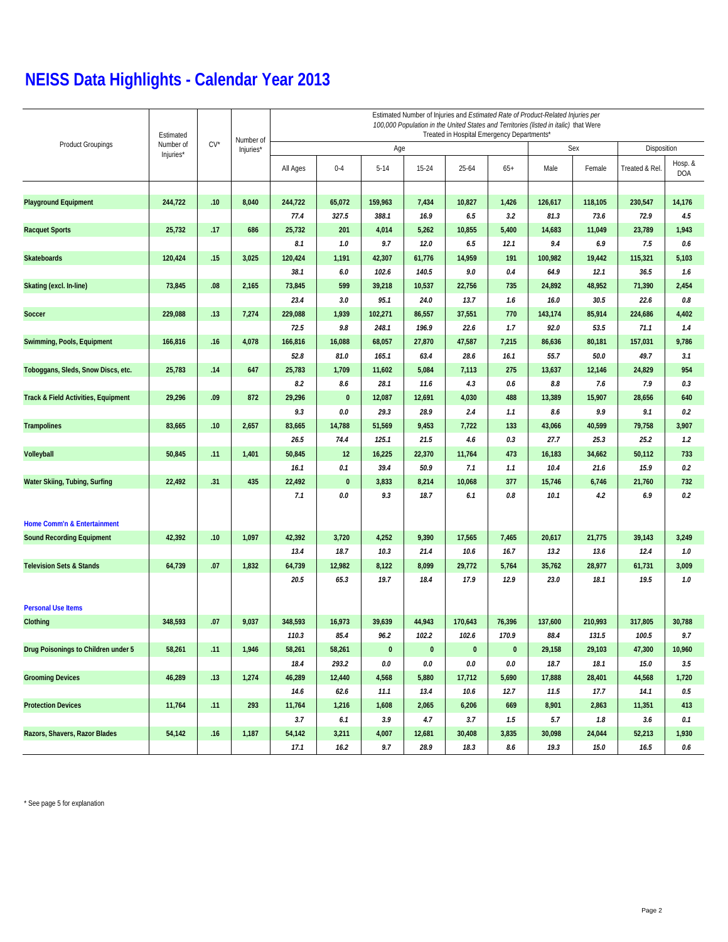|                                     | Estimated<br>Number of<br>Injuries* | $CV^{\star}$ | Number of | Estimated Number of Injuries and Estimated Rate of Product-Related Injuries per<br>100,000 Population in the United States and Territories (listed in italic) that Were<br>Treated in Hospital Emergency Departments* |              |          |           |           |           |             |         |                |                       |  |  |
|-------------------------------------|-------------------------------------|--------------|-----------|-----------------------------------------------------------------------------------------------------------------------------------------------------------------------------------------------------------------------|--------------|----------|-----------|-----------|-----------|-------------|---------|----------------|-----------------------|--|--|
| <b>Product Groupings</b>            |                                     |              | Injuries* |                                                                                                                                                                                                                       |              | Age      |           |           | Sex       | Disposition |         |                |                       |  |  |
|                                     |                                     |              |           | All Ages                                                                                                                                                                                                              | $0 - 4$      | $5 - 14$ | 15-24     | $25 - 64$ | $65+$     | Male        | Female  | Treated & Rel. | Hosp. &<br><b>DOA</b> |  |  |
| <b>Playground Equipment</b>         | 244,722                             | .10          | 8,040     | 244,722                                                                                                                                                                                                               | 65,072       | 159,963  | 7,434     | 10,827    | 1,426     | 126,617     | 118,105 | 230,547        | 14,176                |  |  |
|                                     |                                     |              |           | 77.4                                                                                                                                                                                                                  | 327.5        | 388.1    | 16.9      | 6.5       | 3.2       | 81.3        | 73.6    | 72.9           | 4.5                   |  |  |
| <b>Racquet Sports</b>               | 25,732                              | .17          | 686       | 25,732                                                                                                                                                                                                                | 201          | 4,014    | 5,262     | 10,855    | 5,400     | 14,683      | 11,049  | 23,789         | 1,943                 |  |  |
|                                     |                                     |              |           | 8.1                                                                                                                                                                                                                   | 1.0          | 9.7      | 12.0      | 6.5       | 12.1      | 9.4         | 6.9     | 7.5            | 0.6                   |  |  |
| Skateboards                         | 120,424                             | .15          | 3,025     | 120,424                                                                                                                                                                                                               | 1,191        | 42,307   | 61,776    | 14,959    | 191       | 100,982     | 19,442  | 115,321        | 5,103                 |  |  |
|                                     |                                     |              |           | 38.1                                                                                                                                                                                                                  | $6.0\,$      | 102.6    | 140.5     | 9.0       | 0.4       | 64.9        | 12.1    | 36.5           | 1.6                   |  |  |
| Skating (excl. In-line)             | 73,845                              | .08          | 2,165     | 73,845                                                                                                                                                                                                                | 599          | 39,218   | 10,537    | 22,756    | 735       | 24,892      | 48,952  | 71,390         | 2,454                 |  |  |
|                                     |                                     |              |           | 23.4                                                                                                                                                                                                                  | 3.0          | 95.1     | 24.0      | 13.7      | 1.6       | 16.0        | 30.5    | 22.6           | 0.8                   |  |  |
| Soccer                              | 229,088                             | .13          | 7,274     | 229,088                                                                                                                                                                                                               | 1,939        | 102,271  | 86,557    | 37,551    | 770       | 143,174     | 85,914  | 224,686        | 4,402                 |  |  |
|                                     |                                     |              |           | 72.5                                                                                                                                                                                                                  | 9.8          | 248.1    | 196.9     | 22.6      | 1.7       | 92.0        | 53.5    | 71.1           | 1.4                   |  |  |
| Swimming, Pools, Equipment          | 166,816                             | .16          | 4,078     | 166,816                                                                                                                                                                                                               | 16,088       | 68,057   | 27,870    | 47,587    | 7,215     | 86,636      | 80,181  | 157,031        | 9,786                 |  |  |
|                                     |                                     |              |           | 52.8                                                                                                                                                                                                                  | 81.0         | 165.1    | 63.4      | 28.6      | 16.1      | 55.7        | 50.0    | 49.7           | 3.1                   |  |  |
| Toboggans, Sleds, Snow Discs, etc.  | 25,783                              | .14          | 647       | 25,783                                                                                                                                                                                                                | 1,709        | 11,602   | 5,084     | 7,113     | 275       | 13,637      | 12,146  | 24,829         | 954                   |  |  |
|                                     |                                     |              |           | 8.2                                                                                                                                                                                                                   | 8.6          | 28.1     | 11.6      | 4.3       | $0.6\,$   | 8.8         | 7.6     | 7.9            | 0.3                   |  |  |
| Track & Field Activities, Equipment | 29,296                              | .09          | 872       | 29,296                                                                                                                                                                                                                | $\mathbf{0}$ | 12,087   | 12,691    | 4,030     | 488       | 13,389      | 15,907  | 28,656         | 640                   |  |  |
|                                     |                                     |              |           | 9.3                                                                                                                                                                                                                   | 0.0          | 29.3     | 28.9      | 2.4       | 1.1       | 8.6         | 9.9     | 9.1            | 0.2                   |  |  |
| <b>Trampolines</b>                  | 83,665                              | .10          | 2,657     | 83,665                                                                                                                                                                                                                | 14,788       | 51,569   | 9,453     | 7,722     | 133       | 43,066      | 40,599  | 79,758         | 3,907                 |  |  |
|                                     |                                     |              |           | 26.5                                                                                                                                                                                                                  | 74.4         | 125.1    | 21.5      | 4.6       | 0.3       | 27.7        | 25.3    | 25.2           | 1.2                   |  |  |
| Volleyball                          | 50,845                              | .11          | 1,401     | 50,845                                                                                                                                                                                                                | 12           | 16,225   | 22,370    | 11,764    | 473       | 16,183      | 34,662  | 50,112         | 733                   |  |  |
|                                     |                                     |              |           | 16.1                                                                                                                                                                                                                  | 0.1          | 39.4     | 50.9      | 7.1       | 1.1       | 10.4        | 21.6    | 15.9           | 0.2                   |  |  |
| Water Skiing, Tubing, Surfing       | 22,492                              | .31          | 435       | 22,492                                                                                                                                                                                                                | $\mathbf{0}$ | 3,833    | 8,214     | 10,068    | 377       | 15,746      | 6,746   | 21,760         | 732                   |  |  |
|                                     |                                     |              |           | 7.1                                                                                                                                                                                                                   | 0.0          | 9.3      | 18.7      | 6.1       | 0.8       | 10.1        | 4.2     | 6.9            | 0.2                   |  |  |
| Home Comm'n & Entertainment         |                                     |              |           |                                                                                                                                                                                                                       |              |          |           |           |           |             |         |                |                       |  |  |
| <b>Sound Recording Equipment</b>    | 42,392                              | .10          | 1,097     | 42,392                                                                                                                                                                                                                | 3,720        | 4,252    | 9,390     | 17,565    | 7,465     | 20,617      | 21,775  | 39,143         | 3,249                 |  |  |
|                                     |                                     |              |           | 13.4                                                                                                                                                                                                                  | 18.7         | 10.3     | 21.4      | 10.6      | 16.7      | 13.2        | 13.6    | 12.4           | 1.0                   |  |  |
| <b>Television Sets &amp; Stands</b> | 64,739                              | .07          | 1,832     | 64,739                                                                                                                                                                                                                | 12,982       | 8,122    | 8,099     | 29,772    | 5,764     | 35,762      | 28,977  | 61,731         | 3,009                 |  |  |
|                                     |                                     |              |           | 20.5                                                                                                                                                                                                                  | 65.3         | 19.7     | 18.4      | 17.9      | 12.9      | 23.0        | 18.1    | 19.5           | 1.0                   |  |  |
| <b>Personal Use Items</b>           |                                     |              |           |                                                                                                                                                                                                                       |              |          |           |           |           |             |         |                |                       |  |  |
| Clothing                            | 348,593                             | .07          | 9,037     | 348,593                                                                                                                                                                                                               | 16,973       | 39,639   | 44,943    | 170,643   | 76,396    | 137,600     | 210,993 | 317,805        | 30,788                |  |  |
|                                     |                                     |              |           | 110.3                                                                                                                                                                                                                 | 85.4         | 96.2     | 102.2     | 102.6     | 170.9     | 88.4        | 131.5   | 100.5          | 9.7                   |  |  |
| Drug Poisonings to Children under 5 | 58,261                              | .11          | 1,946     | 58,261                                                                                                                                                                                                                | 58,261       | $\bf{0}$ | $\pmb{0}$ | $\pmb{0}$ | $\pmb{0}$ | 29,158      | 29,103  | 47,300         | 10,960                |  |  |
|                                     |                                     |              |           | 18.4                                                                                                                                                                                                                  | 293.2        | $0.0\,$  | $0.0\,$   | $0.0\,$   | $0.0\,$   | 18.7        | 18.1    | $15.0\,$       | 3.5                   |  |  |
| <b>Grooming Devices</b>             | 46,289                              | .13          | 1,274     | 46,289                                                                                                                                                                                                                | 12,440       | 4,568    | 5,880     | 17,712    | 5,690     | 17,888      | 28,401  | 44,568         | 1,720                 |  |  |
|                                     |                                     |              |           | 14.6                                                                                                                                                                                                                  | 62.6         | 11.1     | 13.4      | 10.6      | 12.7      | 11.5        | 17.7    | 14.1           | $0.5\,$               |  |  |
| <b>Protection Devices</b>           | 11,764                              | .11          | 293       | 11,764                                                                                                                                                                                                                | 1,216        | 1,608    | 2,065     | 6,206     | 669       | 8,901       | 2,863   | 11,351         | 413                   |  |  |
|                                     |                                     |              |           | 3.7                                                                                                                                                                                                                   | 6.1          | 3.9      | 4.7       | 3.7       | 1.5       | 5.7         | 1.8     | 3.6            | 0.1                   |  |  |
| Razors, Shavers, Razor Blades       | 54,142                              | .16          | 1,187     | 54,142                                                                                                                                                                                                                | 3,211        | 4,007    | 12,681    | 30,408    | 3,835     | 30,098      | 24,044  | 52,213         | 1,930                 |  |  |
|                                     |                                     |              |           | 17.1                                                                                                                                                                                                                  | 16.2         | 9.7      | 28.9      | 18.3      | $8.6\,$   | 19.3        | 15.0    | 16.5           | $0.6\,$               |  |  |

\* See page 5 for explanation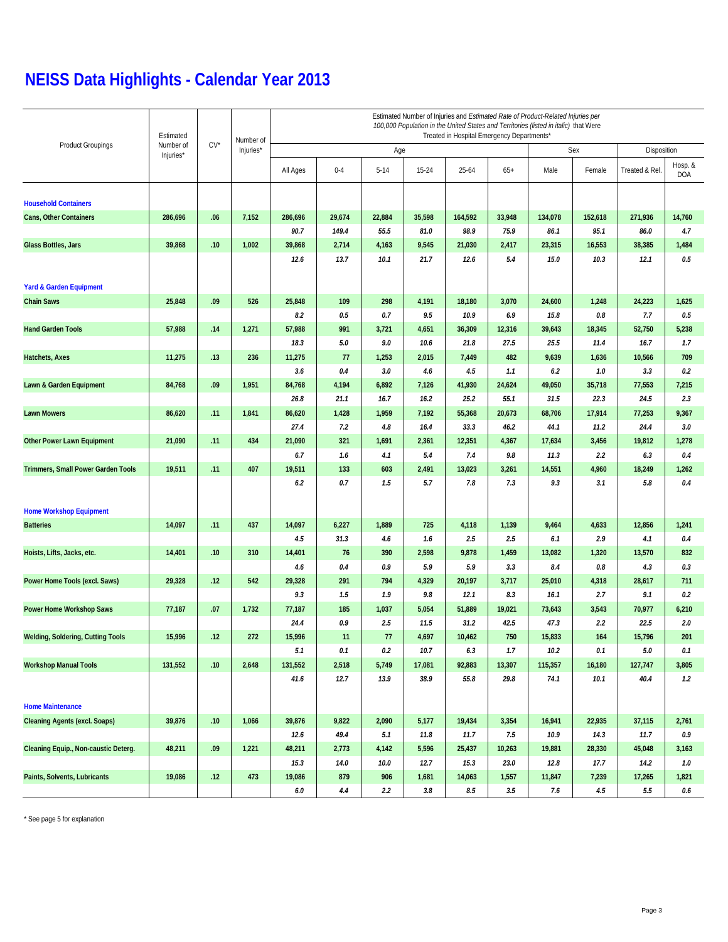|                                          | Estimated<br>Number of<br>Injuries* |        | Number of | Estimated Number of Injuries and Estimated Rate of Product-Related Injuries per<br>100,000 Population in the United States and Territories (listed in italic) that Were<br>Treated in Hospital Emergency Departments* |               |              |                |                |                |                 |                |                 |                |  |  |
|------------------------------------------|-------------------------------------|--------|-----------|-----------------------------------------------------------------------------------------------------------------------------------------------------------------------------------------------------------------------|---------------|--------------|----------------|----------------|----------------|-----------------|----------------|-----------------|----------------|--|--|
| <b>Product Groupings</b>                 |                                     | $CV^*$ | Injuries* |                                                                                                                                                                                                                       | Age           |              |                | Sex            | Disposition    |                 |                |                 |                |  |  |
|                                          |                                     |        |           | All Ages                                                                                                                                                                                                              | $0 - 4$       | $5 - 14$     | 15-24          | $25 - 64$      | $65+$          | Male            | Female         | Treated & Rel   | Hosp. &<br>DOA |  |  |
| <b>Household Containers</b>              |                                     |        |           |                                                                                                                                                                                                                       |               |              |                |                |                |                 |                |                 |                |  |  |
| Cans, Other Containers                   | 286,696                             | .06    | 7,152     | 286,696                                                                                                                                                                                                               | 29,674        | 22,884       | 35,598         | 164,592        | 33,948         | 134,078         | 152,618        | 271,936         | 14,760         |  |  |
|                                          |                                     |        |           | 90.7                                                                                                                                                                                                                  | 149.4         | 55.5         | 81.0           | 98.9           | 75.9           | 86.1            | 95.1           | 86.0            | 4.7            |  |  |
| Glass Bottles, Jars                      | 39,868                              | .10    | 1,002     | 39,868                                                                                                                                                                                                                | 2,714         | 4,163        | 9,545          | 21,030         | 2,417          | 23,315          | 16,553         | 38,385          | 1,484          |  |  |
|                                          |                                     |        |           | 12.6                                                                                                                                                                                                                  | 13.7          | 10.1         | 21.7           | 12.6           | 5.4            | 15.0            | 10.3           | 12.1            | 0.5            |  |  |
|                                          |                                     |        |           |                                                                                                                                                                                                                       |               |              |                |                |                |                 |                |                 |                |  |  |
| <b>Yard &amp; Garden Equipment</b>       |                                     |        |           |                                                                                                                                                                                                                       |               |              |                |                |                |                 |                |                 |                |  |  |
| <b>Chain Saws</b>                        | 25,848                              | .09    | 526       | 25,848<br>8.2                                                                                                                                                                                                         | 109<br>0.5    | 298<br>0.7   | 4,191<br>9.5   | 18,180<br>10.9 | 3,070<br>6.9   | 24,600<br>15.8  | 1,248<br>0.8   | 24,223<br>7.7   | 1,625<br>0.5   |  |  |
| <b>Hand Garden Tools</b>                 | 57,988                              | .14    | 1,271     | 57,988                                                                                                                                                                                                                | 991           | 3,721        | 4,651          | 36,309         | 12,316         | 39,643          | 18,345         | 52,750          | 5,238          |  |  |
|                                          |                                     |        |           | 18.3                                                                                                                                                                                                                  | 5.0           | 9.0          | 10.6           | 21.8           | 27.5           | 25.5            | 11.4           | 16.7            | 1.7            |  |  |
| Hatchets, Axes                           | 11,275                              | .13    | 236       | 11,275                                                                                                                                                                                                                | 77            | 1,253        | 2,015          | 7,449          | 482            | 9,639           | 1,636          | 10,566          | 709            |  |  |
|                                          |                                     |        |           | 3.6                                                                                                                                                                                                                   | 0.4           | 3.0          | 4.6            | 4.5            | 1.1            | 6.2             | 1.0            | 3.3             | 0.2            |  |  |
| Lawn & Garden Equipment                  | 84,768                              | .09    | 1,951     | 84,768                                                                                                                                                                                                                | 4,194         | 6,892        | 7,126          | 41,930         | 24,624         | 49,050          | 35,718         | 77,553          | 7,215          |  |  |
|                                          |                                     |        |           | 26.8                                                                                                                                                                                                                  | 21.1          | 16.7         | 16.2           | 25.2           | 55.1           | 31.5            | 22.3           | 24.5            | 2.3            |  |  |
| <b>Lawn Mowers</b>                       | 86,620                              | .11    | 1,841     | 86,620                                                                                                                                                                                                                | 1,428         | 1,959        | 7,192          | 55,368         | 20,673         | 68,706          | 17,914         | 77,253          | 9,367          |  |  |
|                                          |                                     |        |           | 27.4                                                                                                                                                                                                                  | 7.2           | 4.8          | 16.4           | 33.3           | 46.2           | 44.1            | 11.2           | 24.4            | 3.0            |  |  |
| <b>Other Power Lawn Equipment</b>        | 21,090                              | .11    | 434       | 21,090                                                                                                                                                                                                                | 321           | 1,691        | 2,361          | 12,351         | 4,367          | 17,634          | 3,456          | 19,812          | 1,278          |  |  |
|                                          |                                     |        |           | 6.7                                                                                                                                                                                                                   | 1.6           | 4.1          | 5.4            | 7.4            | 9.8            | 11.3            | 2.2            | 6.3             | 0.4            |  |  |
| Trimmers, Small Power Garden Tools       | 19,511                              | .11    | 407       | 19,511                                                                                                                                                                                                                | 133           | 603          | 2,491          | 13,023         | 3,261          | 14,551          | 4,960          | 18,249          | 1,262          |  |  |
|                                          |                                     |        |           | 6.2                                                                                                                                                                                                                   | 0.7           | 1.5          | 5.7            | 7.8            | 7.3            | 9.3             | 3.1            | 5.8             | 0.4            |  |  |
|                                          |                                     |        |           |                                                                                                                                                                                                                       |               |              |                |                |                |                 |                |                 |                |  |  |
| <b>Home Workshop Equipment</b>           |                                     |        |           |                                                                                                                                                                                                                       |               |              |                |                |                |                 |                |                 |                |  |  |
| <b>Batteries</b>                         | 14,097                              | .11    | 437       | 14,097                                                                                                                                                                                                                | 6,227         | 1,889        | 725            | 4,118          | 1,139          | 9,464           | 4,633          | 12,856          | 1,241          |  |  |
|                                          |                                     |        |           | 4.5                                                                                                                                                                                                                   | 31.3          | 4.6          | 1.6            | 2.5            | 2.5            | 6.1             | 2.9            | 4.1             | $0.4\,$        |  |  |
| Hoists, Lifts, Jacks, etc.               | 14,401                              | .10    | 310       | 14,401                                                                                                                                                                                                                | 76            | 390          | 2,598          | 9,878          | 1,459          | 13,082          | 1,320          | 13,570          | 832            |  |  |
|                                          |                                     |        |           | 4.6                                                                                                                                                                                                                   | 0.4           | 0.9          | 5.9            | 5.9            | 3.3            | 8.4             | 0.8            | 4.3             | 0.3            |  |  |
| Power Home Tools (excl. Saws)            | 29,328                              | .12    | 542       | 29,328                                                                                                                                                                                                                | 291           | 794          | 4,329          | 20,197         | 3,717          | 25,010          | 4,318          | 28,617          | 711            |  |  |
|                                          |                                     |        |           | 9.3                                                                                                                                                                                                                   | 1.5           | 1.9          | 9.8            | 12.1           | 8.3            | 16.1            | 2.7            | 9.1             | 0.2            |  |  |
| Power Home Workshop Saws                 | 77,187                              | .07    | 1,732     | 77,187                                                                                                                                                                                                                | 185           | 1,037        | 5,054          | 51,889         | 19,021         | 73,643          | 3,543          | 70,977          | 6,210          |  |  |
|                                          |                                     |        |           | 24.4                                                                                                                                                                                                                  | 0.9           | 2.5          | 11.5           | 31.2           | 42.5           | 47.3            | 2.2            | 22.5            | 2.0            |  |  |
| <b>Welding, Soldering, Cutting Tools</b> | 15,996                              | .12    | 272       | 15,996                                                                                                                                                                                                                | 11            | 77           | 4,697          | 10,462         | 750            | 15,833          | 164            | 15,796          | 201            |  |  |
|                                          |                                     |        |           | 5.1                                                                                                                                                                                                                   | 0.1           | 0.2<br>5,749 | 10.7           | 6.3            | 1.7            | 10.2            | 0.1            | $5.0\,$         | 0.1            |  |  |
| <b>Workshop Manual Tools</b>             | 131,552                             | .10    | 2,648     | 131,552<br>41.6                                                                                                                                                                                                       | 2,518<br>12.7 | 13.9         | 17,081<br>38.9 | 92,883<br>55.8 | 13,307<br>29.8 | 115,357<br>74.1 | 16,180<br>10.1 | 127,747<br>40.4 | 3,805<br>1.2   |  |  |
|                                          |                                     |        |           |                                                                                                                                                                                                                       |               |              |                |                |                |                 |                |                 |                |  |  |
| <b>Home Maintenance</b>                  |                                     |        |           |                                                                                                                                                                                                                       |               |              |                |                |                |                 |                |                 |                |  |  |
| <b>Cleaning Agents (excl. Soaps)</b>     | 39,876                              | .10    | 1,066     | 39,876                                                                                                                                                                                                                | 9,822         | 2,090        | 5,177          | 19,434         | 3,354          | 16,941          | 22,935         | 37,115          | 2,761          |  |  |
|                                          |                                     |        |           | 12.6                                                                                                                                                                                                                  | 49.4          | 5.1          | 11.8           | 11.7           | 7.5            | 10.9            | 14.3           | 11.7            | 0.9            |  |  |
| Cleaning Equip., Non-caustic Deterg.     | 48,211                              | .09    | 1,221     | 48,211                                                                                                                                                                                                                | 2,773         | 4,142        | 5,596          | 25,437         | 10,263         | 19,881          | 28,330         | 45,048          | 3,163          |  |  |
|                                          |                                     |        |           | 15.3                                                                                                                                                                                                                  | 14.0          | 10.0         | 12.7           | 15.3           | 23.0           | 12.8            | 17.7           | 14.2            | 1.0            |  |  |
| Paints, Solvents, Lubricants             | 19,086                              | .12    | 473       | 19,086                                                                                                                                                                                                                | 879           | 906          | 1,681          | 14,063         | 1,557          | 11,847          | 7,239          | 17,265          | 1,821          |  |  |
|                                          |                                     |        |           | 6.0                                                                                                                                                                                                                   | 4.4           | 2.2          | 3.8            | 8.5            | 3.5            | 7.6             | 4.5            | $5.5\,$         | $0.6\,$        |  |  |

\* See page 5 for explanation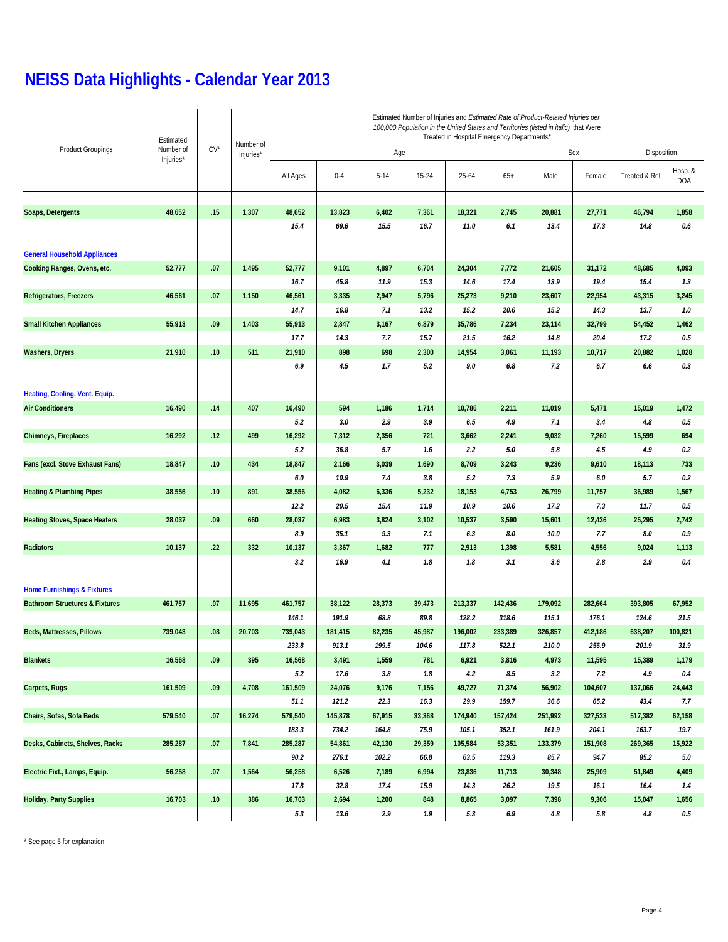|                                           | Estimated<br>$CV^*$<br>Number of<br>Injuries* |           | Number of | Estimated Number of Injuries and Estimated Rate of Product-Related Injuries per<br>100,000 Population in the United States and Territories (listed in italic) that Were<br>Treated in Hospital Emergency Departments* |         |          |        |           |             |         |         |                |                       |  |  |
|-------------------------------------------|-----------------------------------------------|-----------|-----------|-----------------------------------------------------------------------------------------------------------------------------------------------------------------------------------------------------------------------|---------|----------|--------|-----------|-------------|---------|---------|----------------|-----------------------|--|--|
| <b>Product Groupings</b>                  |                                               | Injuries* |           |                                                                                                                                                                                                                       | Age     |          |        | Sex       | Disposition |         |         |                |                       |  |  |
|                                           |                                               |           |           | All Ages                                                                                                                                                                                                              | $0 - 4$ | $5 - 14$ | 15-24  | $25 - 64$ | $65+$       | Male    | Female  | Treated & Rel. | Hosp. &<br><b>DOA</b> |  |  |
|                                           |                                               |           |           |                                                                                                                                                                                                                       |         |          |        |           |             |         |         |                |                       |  |  |
| Soaps, Detergents                         | 48,652                                        | .15       | 1,307     | 48,652                                                                                                                                                                                                                | 13,823  | 6,402    | 7,361  | 18,321    | 2,745       | 20,881  | 27,771  | 46,794         | 1,858                 |  |  |
|                                           |                                               |           |           | 15.4                                                                                                                                                                                                                  | 69.6    | 15.5     | 16.7   | 11.0      | 6.1         | 13.4    | 17.3    | 14.8           | 0.6                   |  |  |
| <b>General Household Appliances</b>       |                                               |           |           |                                                                                                                                                                                                                       |         |          |        |           |             |         |         |                |                       |  |  |
| Cooking Ranges, Ovens, etc.               | 52,777                                        | .07       | 1,495     | 52,777                                                                                                                                                                                                                | 9,101   | 4,897    | 6,704  | 24,304    | 7,772       | 21,605  | 31,172  | 48,685         | 4,093                 |  |  |
|                                           |                                               |           |           | 16.7                                                                                                                                                                                                                  | 45.8    | 11.9     | 15.3   | 14.6      | 17.4        | 13.9    | 19.4    | 15.4           | 1.3                   |  |  |
| Refrigerators, Freezers                   | 46,561                                        | .07       | 1,150     | 46,561                                                                                                                                                                                                                | 3,335   | 2,947    | 5,796  | 25,273    | 9,210       | 23,607  | 22,954  | 43,315         | 3,245                 |  |  |
|                                           |                                               |           |           | 14.7                                                                                                                                                                                                                  | 16.8    | 7.1      | 13.2   | 15.2      | 20.6        | 15.2    | 14.3    | 13.7           | 1.0                   |  |  |
| <b>Small Kitchen Appliances</b>           | 55,913                                        | .09       | 1,403     | 55,913                                                                                                                                                                                                                | 2,847   | 3,167    | 6,879  | 35,786    | 7,234       | 23,114  | 32,799  | 54,452         | 1,462                 |  |  |
|                                           |                                               |           |           | 17.7                                                                                                                                                                                                                  | 14.3    | 7.7      | 15.7   | 21.5      | 16.2        | 14.8    | 20.4    | 17.2           | 0.5                   |  |  |
| <b>Washers, Dryers</b>                    | 21,910                                        | .10       | 511       | 21,910                                                                                                                                                                                                                | 898     | 698      | 2,300  | 14,954    | 3,061       | 11,193  | 10,717  | 20,882         | 1,028                 |  |  |
|                                           |                                               |           |           | 6.9                                                                                                                                                                                                                   | 4.5     | 1.7      | 5.2    | 9.0       | 6.8         | 7.2     | 6.7     | 6.6            | 0.3                   |  |  |
|                                           |                                               |           |           |                                                                                                                                                                                                                       |         |          |        |           |             |         |         |                |                       |  |  |
| Heating, Cooling, Vent. Equip.            |                                               |           |           |                                                                                                                                                                                                                       |         |          |        |           |             |         |         |                |                       |  |  |
| <b>Air Conditioners</b>                   | 16,490                                        | .14       | 407       | 16,490                                                                                                                                                                                                                | 594     | 1,186    | 1,714  | 10,786    | 2,211       | 11,019  | 5,471   | 15,019         | 1,472                 |  |  |
|                                           |                                               |           |           | 5.2                                                                                                                                                                                                                   | 3.0     | 2.9      | 3.9    | 6.5       | 4.9         | 7.1     | 3.4     | 4.8            | 0.5                   |  |  |
| <b>Chimneys, Fireplaces</b>               | 16,292                                        | .12       | 499       | 16,292                                                                                                                                                                                                                | 7,312   | 2,356    | 721    | 3,662     | 2,241       | 9,032   | 7,260   | 15,599         | 694                   |  |  |
|                                           |                                               |           |           | 5.2                                                                                                                                                                                                                   | 36.8    | 5.7      | 1.6    | 2.2       | 5.0         | 5.8     | 4.5     | 4.9            | 0.2                   |  |  |
| Fans (excl. Stove Exhaust Fans)           | 18,847                                        | .10       | 434       | 18,847                                                                                                                                                                                                                | 2,166   | 3,039    | 1,690  | 8,709     | 3,243       | 9,236   | 9,610   | 18,113         | 733                   |  |  |
|                                           |                                               |           |           | 6.0                                                                                                                                                                                                                   | 10.9    | 7.4      | 3.8    | 5.2       | 7.3         | 5.9     | 6.0     | 5.7            | 0.2                   |  |  |
| <b>Heating &amp; Plumbing Pipes</b>       | 38,556                                        | .10       | 891       | 38,556                                                                                                                                                                                                                | 4,082   | 6,336    | 5,232  | 18,153    | 4,753       | 26,799  | 11,757  | 36,989         | 1,567                 |  |  |
|                                           |                                               |           |           | 12.2                                                                                                                                                                                                                  | 20.5    | 15.4     | 11.9   | 10.9      | 10.6        | 17.2    | 7.3     | 11.7           | 0.5                   |  |  |
| <b>Heating Stoves, Space Heaters</b>      | 28,037                                        | .09       | 660       | 28,037                                                                                                                                                                                                                | 6,983   | 3,824    | 3,102  | 10,537    | 3,590       | 15,601  | 12,436  | 25,295         | 2,742                 |  |  |
|                                           |                                               |           |           | 8.9                                                                                                                                                                                                                   | 35.1    | 9.3      | 7.1    | 6.3       | 8.0         | 10.0    | 7.7     | 8.0            | 0.9                   |  |  |
| Radiators                                 | 10,137                                        | .22       | 332       | 10,137                                                                                                                                                                                                                | 3,367   | 1,682    | 777    | 2,913     | 1,398       | 5,581   | 4,556   | 9,024          | 1,113                 |  |  |
|                                           |                                               |           |           | 3.2                                                                                                                                                                                                                   | 16.9    | 4.1      | 1.8    | 1.8       | 3.1         | 3.6     | 2.8     | 2.9            | 0.4                   |  |  |
| <b>Home Furnishings &amp; Fixtures</b>    |                                               |           |           |                                                                                                                                                                                                                       |         |          |        |           |             |         |         |                |                       |  |  |
| <b>Bathroom Structures &amp; Fixtures</b> | 461,757                                       | .07       | 11,695    | 461,757                                                                                                                                                                                                               | 38,122  | 28,373   | 39,473 | 213,337   | 142,436     | 179,092 | 282,664 | 393,805        | 67,952                |  |  |
|                                           |                                               |           |           | 146.1                                                                                                                                                                                                                 | 191.9   | 68.8     | 89.8   | 128.2     | 318.6       | 115.1   | 176.1   | 124.6          | 21.5                  |  |  |
| Beds, Mattresses, Pillows                 | 739,043                                       | .08       | 20,703    | 739,043                                                                                                                                                                                                               | 181,415 | 82,235   | 45,987 | 196,002   | 233,389     | 326,857 | 412,186 | 638,207        | 100,821               |  |  |
|                                           |                                               |           |           | 233.8                                                                                                                                                                                                                 | 913.1   | 199.5    | 104.6  | 117.8     | 522.1       | 210.0   | 256.9   | 201.9          | 31.9                  |  |  |
| <b>Blankets</b>                           | 16,568                                        | .09       | 395       | 16,568                                                                                                                                                                                                                | 3,491   | 1,559    | 781    | 6,921     | 3,816       | 4,973   | 11,595  | 15,389         | 1,179                 |  |  |
|                                           |                                               |           |           | 5.2                                                                                                                                                                                                                   | $17.6$  | $3.8\,$  | 1.8    | 4.2       | $8.5\,$     | 3.2     | 7.2     | 4.9            | 0.4                   |  |  |
| Carpets, Rugs                             | 161,509                                       | .09       | 4,708     | 161,509                                                                                                                                                                                                               | 24,076  | 9,176    | 7,156  | 49,727    | 71,374      | 56,902  | 104,607 | 137,066        | 24,443                |  |  |
|                                           |                                               |           |           | 51.1                                                                                                                                                                                                                  | 121.2   | 22.3     | 16.3   | 29.9      | 159.7       | 36.6    | 65.2    | 43.4           | 7.7                   |  |  |
| Chairs, Sofas, Sofa Beds                  | 579,540                                       | .07       | 16,274    | 579,540                                                                                                                                                                                                               | 145,878 | 67,915   | 33,368 | 174,940   | 157,424     | 251,992 | 327,533 | 517,382        | 62,158                |  |  |
|                                           |                                               |           |           | 183.3                                                                                                                                                                                                                 | 734.2   | 164.8    | 75.9   | 105.1     | 352.1       | 161.9   | 204.1   | 163.7          | 19.7                  |  |  |
| Desks, Cabinets, Shelves, Racks           | 285,287                                       | .07       | 7,841     | 285,287                                                                                                                                                                                                               | 54,861  | 42,130   | 29,359 | 105,584   | 53,351      | 133,379 | 151,908 | 269,365        | 15,922                |  |  |
|                                           |                                               |           |           | 90.2                                                                                                                                                                                                                  | 276.1   | 102.2    | 66.8   | 63.5      | 119.3       | 85.7    | 94.7    | 85.2           | 5.0                   |  |  |
| Electric Fixt., Lamps, Equip.             | 56,258                                        | .07       | 1,564     | 56,258                                                                                                                                                                                                                | 6,526   | 7,189    | 6,994  | 23,836    | 11,713      | 30,348  | 25,909  | 51,849         | 4,409                 |  |  |
|                                           |                                               |           |           | 17.8                                                                                                                                                                                                                  | 32.8    | 17.4     | 15.9   | 14.3      | 26.2        | 19.5    | 16.1    | 16.4           | 1.4                   |  |  |
| <b>Holiday, Party Supplies</b>            | 16,703                                        | .10       | 386       | 16,703                                                                                                                                                                                                                | 2,694   | 1,200    | 848    | 8,865     | 3,097       | 7,398   | 9,306   | 15,047         | 1,656                 |  |  |
|                                           |                                               |           |           | 5.3                                                                                                                                                                                                                   | 13.6    | 2.9      | 1.9    | 5.3       | $6.9\,$     | 4.8     | 5.8     | 4.8            | $0.5\,$               |  |  |

\* See page 5 for explanation